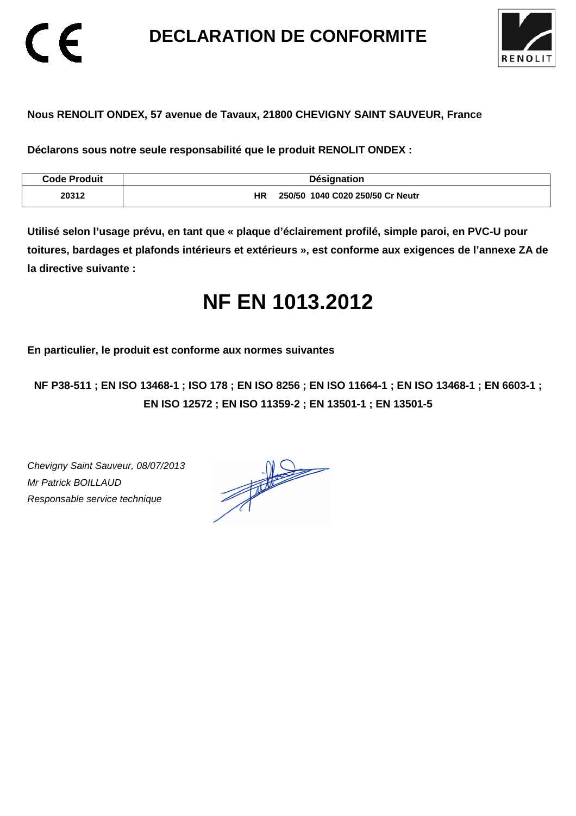**DECLARATION DE CONFORMITE** 



### **Nous RENOLIT ONDEX, 57 avenue de Tavaux, 21800 CHEVIGNY SAINT SAUVEUR, France**

**Déclarons sous notre seule responsabilité que le produit RENOLIT ONDEX :** 

| <b>Code Produit</b> | <b>Désignation</b>                     |
|---------------------|----------------------------------------|
| 20312               | ΗR<br>250/50 1040 C020 250/50 Cr Neutr |

**Utilisé selon l'usage prévu, en tant que « plaque d'éclairement profilé, simple paroi, en PVC-U pour toitures, bardages et plafonds intérieurs et extérieurs », est conforme aux exigences de l'annexe ZA de la directive suivante :** 

## **NF EN 1013.2012**

**En particulier, le produit est conforme aux normes suivantes** 

**NF P38-511 ; EN ISO 13468-1 ; ISO 178 ; EN ISO 8256 ; EN ISO 11664-1 ; EN ISO 13468-1 ; EN 6603-1 ; EN ISO 12572 ; EN ISO 11359-2 ; EN 13501-1 ; EN 13501-5**

Chevigny Saint Sauveur, 08/07/2013 Mr Patrick BOILLAUD Responsable service technique

 $\epsilon$ 

 $\frac{1}{\sqrt{2\pi}}\int_{0}^{\frac{1}{2}}\frac{dx}{(x-y)^{2}}\,dy\,dy=0$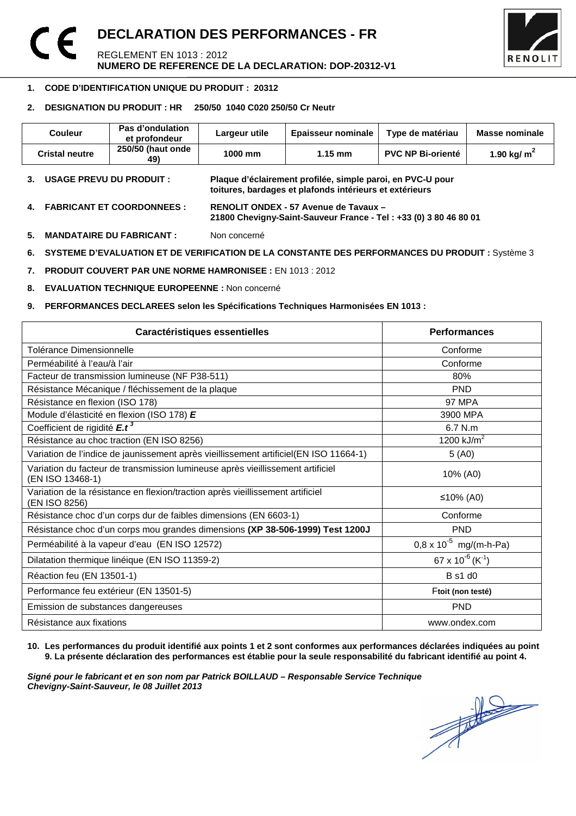#### **DECLARATION DES PERFORMANCES - FR**  CE REGLEMENT EN 1013 : 2012 **NUMERO DE REFERENCE DE LA DECLARATION: DOP-20312-V1**



#### 1 **1. CODE D'IDENTIFICATION UNIQUE DU PRODUIT : 20312**

#### **2. DESIGNATION DU PRODUIT : HR 250/50 1040 C020 250/50 Cr Neutr**

| Couleur                                                                                               | Pas d'ondulation<br>et profondeur | Largeur utile                                                                                                         | Epaisseur nominale | Type de matériau         | Masse nominale |
|-------------------------------------------------------------------------------------------------------|-----------------------------------|-----------------------------------------------------------------------------------------------------------------------|--------------------|--------------------------|----------------|
| <b>Cristal neutre</b>                                                                                 | 250/50 (haut onde<br>49)          | 1000 mm                                                                                                               | $1.15 \text{ mm}$  | <b>PVC NP Bi-orienté</b> | 1.90 kg/ $m^2$ |
| <b>USAGE PREVU DU PRODUIT :</b><br>3.                                                                 |                                   | Plaque d'éclairement profilée, simple paroi, en PVC-U pour<br>toitures, bardages et plafonds intérieurs et extérieurs |                    |                          |                |
| <b>FABRICANT ET COORDONNEES :</b><br>4.                                                               |                                   | RENOLIT ONDEX - 57 Avenue de Tavaux -<br>21800 Chevigny-Saint-Sauveur France - Tel: +33 (0) 3 80 46 80 01             |                    |                          |                |
| 5.<br><b>MANDATAIRE DU FABRICANT :</b>                                                                |                                   | Non concerné                                                                                                          |                    |                          |                |
| SYSTEME D'EVALUATION ET DE VERIFICATION DE LA CONSTANTE DES PERFORMANCES DU PRODUIT : Système 3<br>6. |                                   |                                                                                                                       |                    |                          |                |
| <b>PRODUIT COUVERT PAR UNE NORME HAMRONISEE : EN 1013 : 2012</b><br>7.                                |                                   |                                                                                                                       |                    |                          |                |

**8. EVALUATION TECHNIQUE EUROPEENNE :** Non concerné

**9. PERFORMANCES DECLAREES selon les Spécifications Techniques Harmonisées EN 1013 :** 

| <b>Caractéristiques essentielles</b>                                                               | <b>Performances</b>                      |
|----------------------------------------------------------------------------------------------------|------------------------------------------|
| Tolérance Dimensionnelle                                                                           | Conforme                                 |
| Perméabilité à l'eau/à l'air                                                                       | Conforme                                 |
| Facteur de transmission lumineuse (NF P38-511)                                                     | 80%                                      |
| Résistance Mécanique / fléchissement de la plaque                                                  | <b>PND</b>                               |
| Résistance en flexion (ISO 178)                                                                    | 97 MPA                                   |
| Module d'élasticité en flexion (ISO 178) E                                                         | 3900 MPA                                 |
| Coefficient de rigidité E.t <sup>3</sup>                                                           | $6.7$ N.m                                |
| Résistance au choc traction (EN ISO 8256)                                                          | 1200 $kJ/m2$                             |
| Variation de l'indice de jaunissement après vieillissement artificiel(EN ISO 11664-1)              | 5(40)                                    |
| Variation du facteur de transmission lumineuse après vieillissement artificiel<br>(EN ISO 13468-1) | 10% (A0)                                 |
| Variation de la résistance en flexion/traction après vieillissement artificiel<br>(EN ISO 8256)    | ≤10% (A0)                                |
| Résistance choc d'un corps dur de faibles dimensions (EN 6603-1)                                   | Conforme                                 |
| Résistance choc d'un corps mou grandes dimensions (XP 38-506-1999) Test 1200J                      | <b>PND</b>                               |
| Perméabilité à la vapeur d'eau (EN ISO 12572)                                                      | $0.8 \times 10^{-5}$ mg/(m-h-Pa)         |
| Dilatation thermique linéique (EN ISO 11359-2)                                                     | 67 x 10 <sup>-6</sup> (K <sup>-1</sup> ) |
| Réaction feu (EN 13501-1)                                                                          | <b>B</b> s1 d0                           |
| Performance feu extérieur (EN 13501-5)                                                             | Ftoit (non testé)                        |
| Emission de substances dangereuses                                                                 | <b>PND</b>                               |
| Résistance aux fixations                                                                           | www.ondex.com                            |

**10. Les performances du produit identifié aux points 1 et 2 sont conformes aux performances déclarées indiquées au point 9. La présente déclaration des performances est établie pour la seule responsabilité du fabricant identifié au point 4.** 

Signé pour le fabricant et en son nom par Patrick BOILLAUD – Responsable Service Technique<br>Chevigny-Saint-Sauveur, le 08 Juillet 2013<br> **Chevigny-Saint-Sauveur, le 08 Juillet 2013 Chevigny-Saint-Sauveur, le 08 Juillet 2013**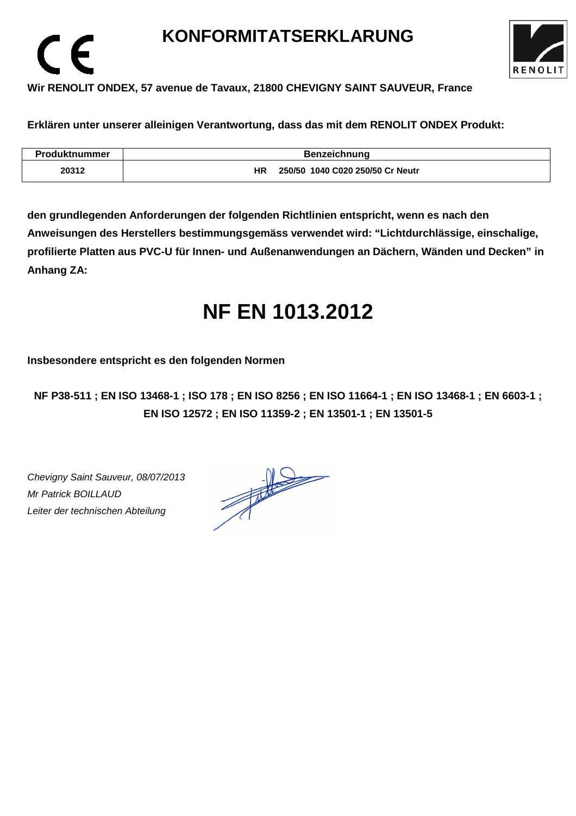### **KONFORMITATSERKLARUNG**



### **Wir RENOLIT ONDEX, 57 avenue de Tavaux, 21800 CHEVIGNY SAINT SAUVEUR, France**

**Erklären unter unserer alleinigen Verantwortung, dass das mit dem RENOLIT ONDEX Produkt:** 

| <b>Produktnummer</b> | <b>Benzeichnung</b>                    |
|----------------------|----------------------------------------|
| 20312                | 250/50 1040 C020 250/50 Cr Neutr<br>ΗR |

**den grundlegenden Anforderungen der folgenden Richtlinien entspricht, wenn es nach den Anweisungen des Herstellers bestimmungsgemäss verwendet wird: "Lichtdurchlässige, einschalige, profilierte Platten aus PVC-U für Innen- und Außenanwendungen an Dächern, Wänden und Decken" in Anhang ZA:** 

# **NF EN 1013.2012**

**Insbesondere entspricht es den folgenden Normen** 

**NF P38-511 ; EN ISO 13468-1 ; ISO 178 ; EN ISO 8256 ; EN ISO 11664-1 ; EN ISO 13468-1 ; EN 6603-1 ; EN ISO 12572 ; EN ISO 11359-2 ; EN 13501-1 ; EN 13501-5**

Chevigny Saint Sauveur, 08/07/2013 Mr Patrick BOILLAUD Leiter der technischen Abteilung

 $\epsilon$ 

 $\frac{1}{\sqrt{1-\frac{1}{2}}}\left\vert \frac{1}{\sqrt{1-\frac{1}{2}}}\right\vert = \frac{1}{\sqrt{1-\frac{1}{2}}}\left\vert \frac{1}{\sqrt{1-\frac{1}{2}}}\right\vert.$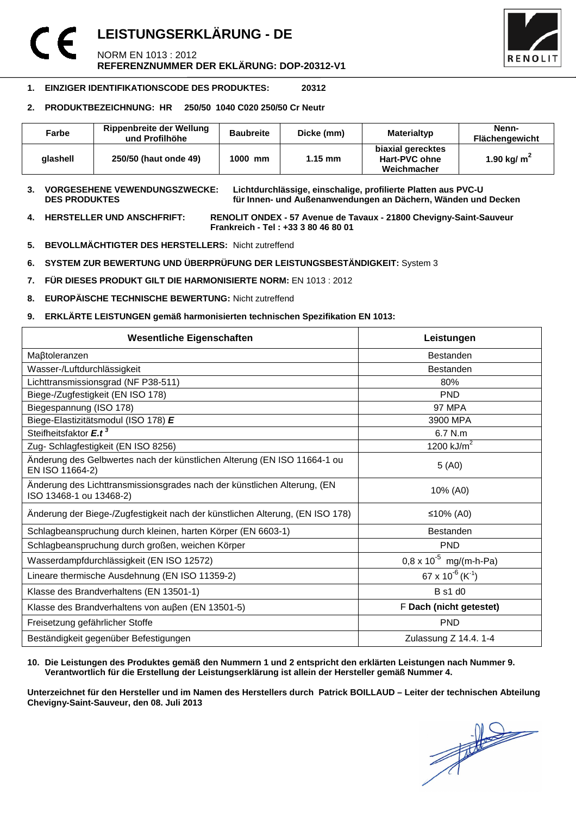### **LEISTUNGSERKLÄRUNG - DE**  NORM EN 1013 : 2012 **REFERENZNUMMER DER EKLÄRUNG: DOP-20312-V1**



#### **1. EINZIGER IDENTIFIKATIONSCODE DES PRODUKTES: 20312**

#### **2. PRODUKTBEZEICHNUNG: HR 250/50 1040 C020 250/50 Cr Neutr**

| Farbe    | Rippenbreite der Wellung<br>und Profilhöhe | <b>Baubreite</b> | Dicke (mm)        | <b>Materialtyp</b>                                | Nenn-<br><b>Flächengewicht</b> |
|----------|--------------------------------------------|------------------|-------------------|---------------------------------------------------|--------------------------------|
| alashell | 250/50 (haut onde 49)                      | 1000 mm          | $1.15 \text{ mm}$ | biaxial gerecktes<br>Hart-PVC ohne<br>Weichmacher | 1.90 kg/ $m2$                  |

#### **3. VORGESEHENE VEWENDUNGSZWECKE: Lichtdurchlässige, einschalige, profilierte Platten aus PVC-U**  für Innen- und Außenanwendungen an Dächern, Wänden und Decken

**4. HERSTELLER UND ANSCHFRIFT: RENOLIT ONDEX - 57 Avenue de Tavaux - 21800 Chevigny-Saint-Sauveur Frankreich - Tel : +33 3 80 46 80 01** 

- **5. BEVOLLMÄCHTIGTER DES HERSTELLERS:** Nicht zutreffend
- **6. SYSTEM ZUR BEWERTUNG UND ÜBERPRÜFUNG DER LEISTUNGSBESTÄNDIGKEIT:** System 3
- **7. FÜR DIESES PRODUKT GILT DIE HARMONISIERTE NORM:** EN 1013 : 2012
- **8. EUROPÄISCHE TECHNISCHE BEWERTUNG:** Nicht zutreffend
- **9. ERKLÄRTE LEISTUNGEN gemäß harmonisierten technischen Spezifikation EN 1013:**

| <b>Wesentliche Eigenschaften</b>                                                                    | Leistungen                               |  |
|-----------------------------------------------------------------------------------------------------|------------------------------------------|--|
| Maßtoleranzen                                                                                       | <b>Bestanden</b>                         |  |
| Wasser-/Luftdurchlässigkeit                                                                         | <b>Bestanden</b>                         |  |
| Lichttransmissionsgrad (NF P38-511)                                                                 | 80%                                      |  |
| Biege-/Zugfestigkeit (EN ISO 178)                                                                   | <b>PND</b>                               |  |
| Biegespannung (ISO 178)                                                                             | <b>97 MPA</b>                            |  |
| Biege-Elastizitätsmodul (ISO 178) E                                                                 | 3900 MPA                                 |  |
| Steifheitsfaktor E.t <sup>3</sup>                                                                   | 6.7 N.m                                  |  |
| Zug- Schlagfestigkeit (EN ISO 8256)                                                                 | 1200 $kJ/m2$                             |  |
| Änderung des Gelbwertes nach der künstlichen Alterung (EN ISO 11664-1 ou<br>EN ISO 11664-2)         | 5(40)                                    |  |
| Änderung des Lichttransmissionsgrades nach der künstlichen Alterung, (EN<br>ISO 13468-1 ou 13468-2) | 10% (A0)                                 |  |
| Änderung der Biege-/Zugfestigkeit nach der künstlichen Alterung, (EN ISO 178)                       | ≤10% (A0)                                |  |
| Schlagbeanspruchung durch kleinen, harten Körper (EN 6603-1)                                        | <b>Bestanden</b>                         |  |
| Schlagbeanspruchung durch großen, weichen Körper                                                    | <b>PND</b>                               |  |
| Wasserdampfdurchlässigkeit (EN ISO 12572)                                                           | $0.8 \times 10^{-5}$ mg/(m-h-Pa)         |  |
| Lineare thermische Ausdehnung (EN ISO 11359-2)                                                      | 67 x 10 <sup>-6</sup> (K <sup>-1</sup> ) |  |
| Klasse des Brandverhaltens (EN 13501-1)                                                             | <b>B</b> s1 d0                           |  |
| Klasse des Brandverhaltens von außen (EN 13501-5)                                                   | F Dach (nicht getestet)                  |  |
| Freisetzung gefährlicher Stoffe                                                                     | <b>PND</b>                               |  |
| Beständigkeit gegenüber Befestigungen                                                               | Zulassung Z 14.4. 1-4                    |  |

#### **10. Die Leistungen des Produktes gemäß den Nummern 1 und 2 entspricht den erklärten Leistungen nach Nummer 9. Verantwortlich für die Erstellung der Leistungserklärung ist allein der Hersteller gemäß Nummer 4.**

**Unterzeichnet für den Hersteller und im Namen des Herstellers durch Patrick BOILLAUD – Leiter der technischen Abteilung Chevigny-Saint-Sauveur, den 08. Juli 2013**

 $\frac{1}{\sqrt{2}}$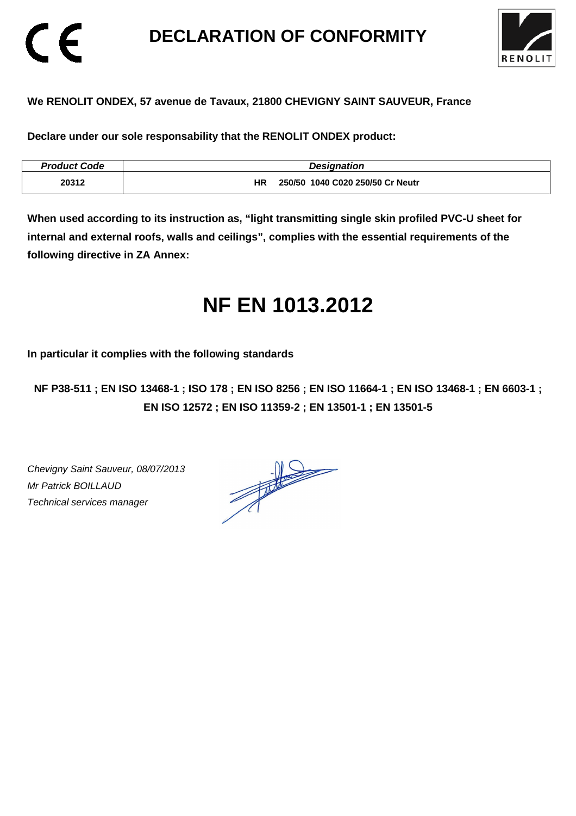### **DECLARATION OF CONFORMITY**



### **We RENOLIT ONDEX, 57 avenue de Tavaux, 21800 CHEVIGNY SAINT SAUVEUR, France**

**Declare under our sole responsability that the RENOLIT ONDEX product:** 

| <b>Product Code</b> | <b>Designation</b>                     |
|---------------------|----------------------------------------|
| 20312               | 250/50 1040 C020 250/50 Cr Neutr<br>ΗR |

**When used according to its instruction as, "light transmitting single skin profiled PVC-U sheet for internal and external roofs, walls and ceilings", complies with the essential requirements of the following directive in ZA Annex:** 

# **NF EN 1013.2012**

**In particular it complies with the following standards** 

**NF P38-511 ; EN ISO 13468-1 ; ISO 178 ; EN ISO 8256 ; EN ISO 11664-1 ; EN ISO 13468-1 ; EN 6603-1 ; EN ISO 12572 ; EN ISO 11359-2 ; EN 13501-1 ; EN 13501-5**

Chevigny Saint Sauveur, 08/07/2013 Mr Patrick BOILLAUD Technical services manager

CE

 $\frac{1}{\sqrt{2}}$